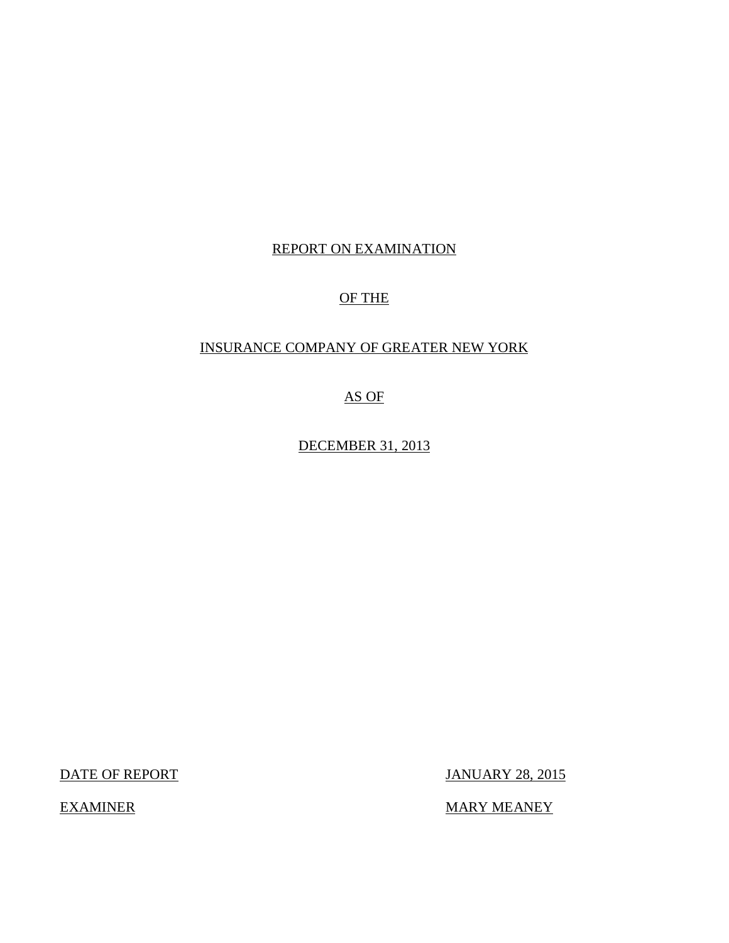## REPORT ON EXAMINATION

## OF THE

## INSURANCE COMPANY OF GREATER NEW YORK

AS OF

DECEMBER 31, 2013

DATE OF REPORT JANUARY 28, 2015

EXAMINER MARY MEANEY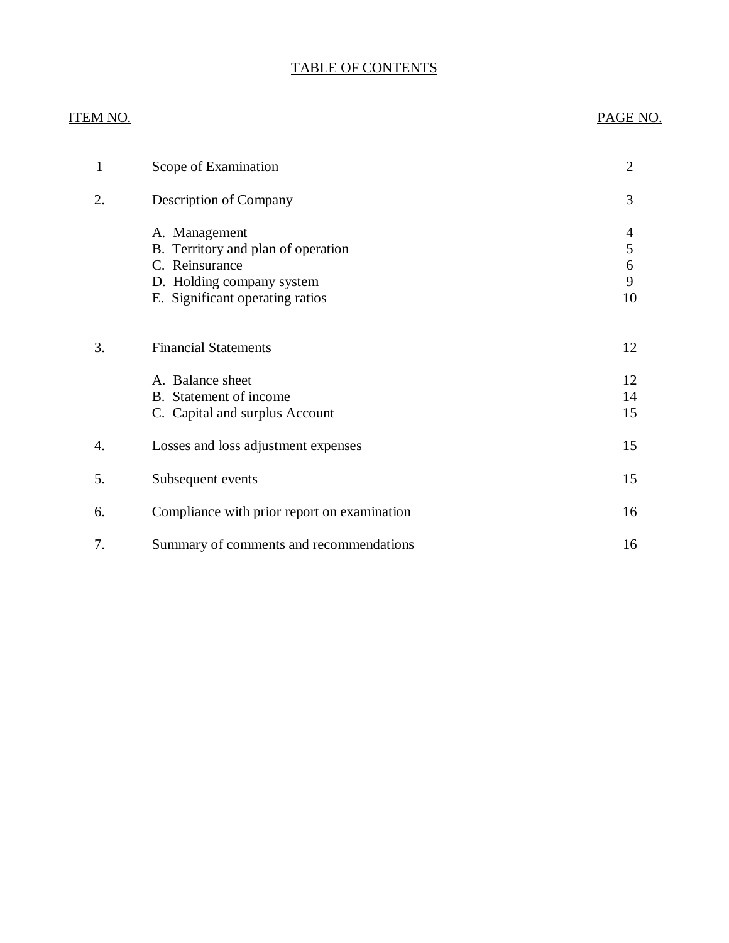## TABLE OF CONTENTS

| <u>ITEM NO.</u>  |                                                                                                                                       | PAGE NO.                                      |
|------------------|---------------------------------------------------------------------------------------------------------------------------------------|-----------------------------------------------|
| $\mathbf{1}$     | Scope of Examination                                                                                                                  | $\overline{2}$                                |
| 2.               | Description of Company                                                                                                                | 3                                             |
|                  | A. Management<br>B. Territory and plan of operation<br>C. Reinsurance<br>D. Holding company system<br>E. Significant operating ratios | $\overline{\mathcal{A}}$<br>5<br>6<br>9<br>10 |
| 3.               | <b>Financial Statements</b><br>A. Balance sheet<br>B. Statement of income<br>C. Capital and surplus Account                           | 12<br>12<br>14<br>15                          |
| $\overline{4}$ . | Losses and loss adjustment expenses                                                                                                   | 15                                            |
| 5.               | Subsequent events                                                                                                                     | 15                                            |
| 6.               | Compliance with prior report on examination                                                                                           | 16                                            |
| 7.               | Summary of comments and recommendations                                                                                               | 16                                            |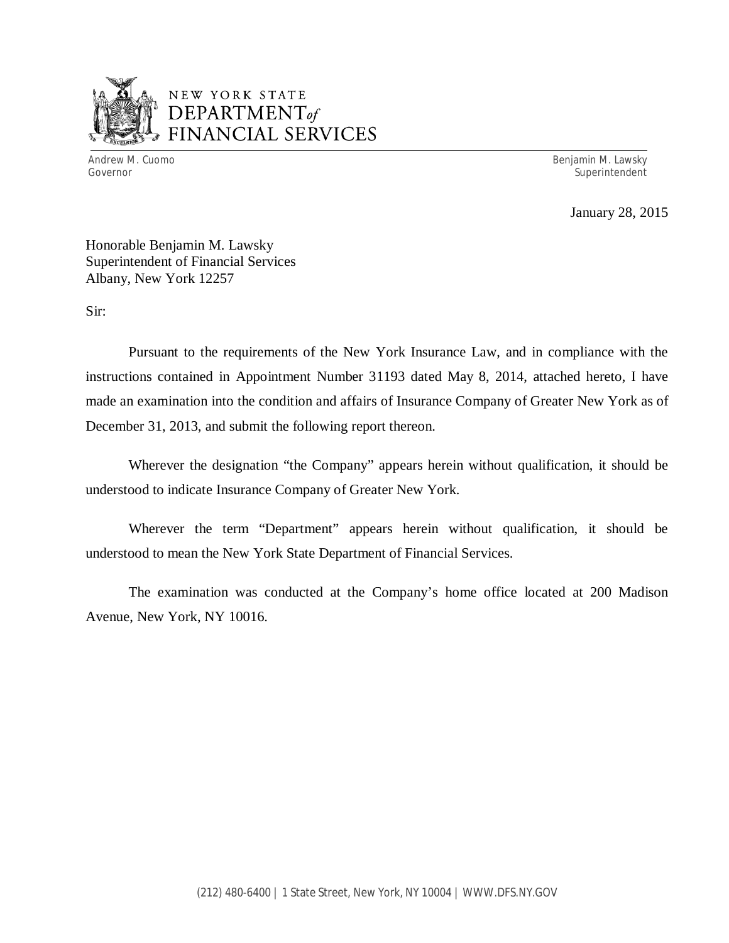

## NEW YORK STATE *DEPARTMENTof*  FINANCIAL SERVICES

Andrew M. Cuomo **Benjamin M. Lawsky** Governor Superintendent Superintendent Superintendent Superintendent Superintendent Superintendent Superintendent

January 28, 2015

Honorable Benjamin M. Lawsky Superintendent of Financial Services Albany, New York 12257

Sir:

Pursuant to the requirements of the New York Insurance Law, and in compliance with the instructions contained in Appointment Number 31193 dated May 8, 2014, attached hereto, I have made an examination into the condition and affairs of Insurance Company of Greater New York as of December 31, 2013, and submit the following report thereon.

Wherever the designation "the Company" appears herein without qualification, it should be understood to indicate Insurance Company of Greater New York.

Wherever the term "Department" appears herein without qualification, it should be understood to mean the New York State Department of Financial Services.

The examination was conducted at the Company's home office located at 200 Madison Avenue, New York, NY 10016.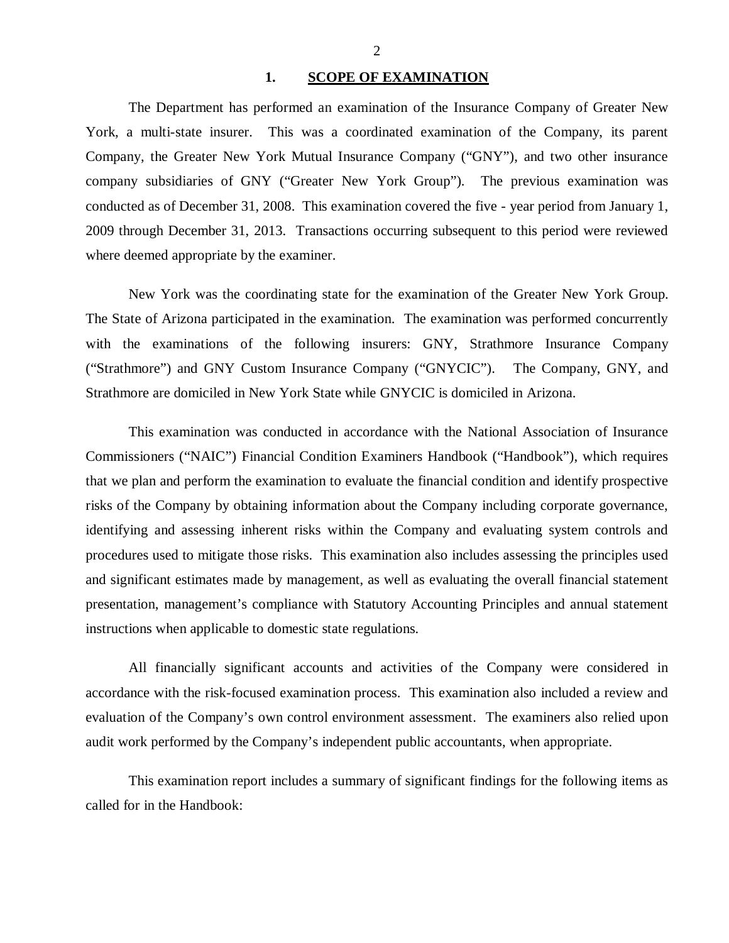#### 1. **SCOPE OF EXAMINATION**

<span id="page-3-0"></span>The Department has performed an examination of the Insurance Company of Greater New York*,* a multi-state insurer. This was a coordinated examination of the Company, its parent Company, the Greater New York Mutual Insurance Company ("GNY"), and two other insurance company subsidiaries of GNY ("Greater New York Group"). The previous examination was conducted as of December 31, 2008. This examination covered the five - year period from January 1, 2009 through December 31, 2013. Transactions occurring subsequent to this period were reviewed where deemed appropriate by the examiner.

New York was the coordinating state for the examination of the Greater New York Group. The State of Arizona participated in the examination. The examination was performed concurrently with the examinations of the following insurers: GNY, Strathmore Insurance Company ("Strathmore") and GNY Custom Insurance Company ("GNYCIC"). The Company, GNY, and Strathmore are domiciled in New York State while GNYCIC is domiciled in Arizona.

This examination was conducted in accordance with the National Association of Insurance Commissioners ("NAIC") Financial Condition Examiners Handbook ("Handbook"), which requires that we plan and perform the examination to evaluate the financial condition and identify prospective risks of the Company by obtaining information about the Company including corporate governance, identifying and assessing inherent risks within the Company and evaluating system controls and procedures used to mitigate those risks. This examination also includes assessing the principles used and significant estimates made by management, as well as evaluating the overall financial statement presentation, management's compliance with Statutory Accounting Principles and annual statement instructions when applicable to domestic state regulations.

All financially significant accounts and activities of the Company were considered in accordance with the risk-focused examination process. This examination also included a review and evaluation of the Company's own control environment assessment. The examiners also relied upon audit work performed by the Company's independent public accountants, when appropriate.

This examination report includes a summary of significant findings for the following items as called for in the Handbook: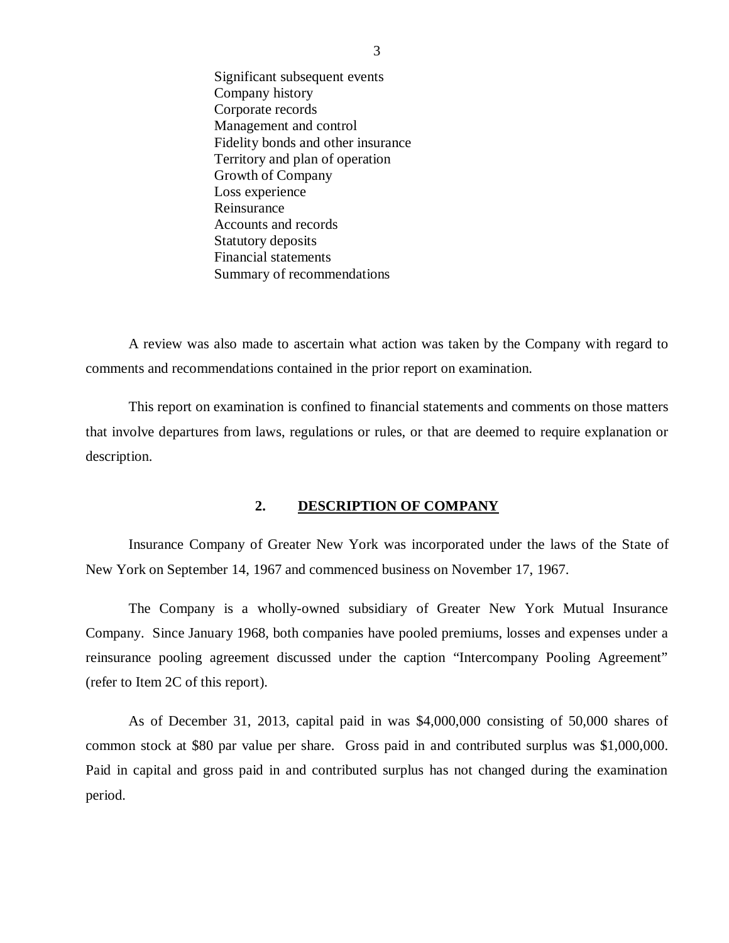<span id="page-4-0"></span>Significant subsequent events Company history Corporate records Management and control Fidelity bonds and other insurance Territory and plan of operation Growth of Company Loss experience Reinsurance Accounts and records Statutory deposits Financial statements Summary of recommendations

A review was also made to ascertain what action was taken by the Company with regard to comments and recommendations contained in the prior report on examination.

This report on examination is confined to financial statements and comments on those matters that involve departures from laws, regulations or rules, or that are deemed to require explanation or description.

#### **2. DESCRIPTION OF COMPANY**

Insurance Company of Greater New York was incorporated under the laws of the State of New York on September 14, 1967 and commenced business on November 17, 1967.

The Company is a wholly-owned subsidiary of Greater New York Mutual Insurance Company. Since January 1968, both companies have pooled premiums, losses and expenses under a reinsurance pooling agreement discussed under the caption "Intercompany Pooling Agreement" (refer to Item 2C of this report).

As of December 31, 2013, capital paid in was \$4,000,000 consisting of 50,000 shares of common stock at \$80 par value per share. Gross paid in and contributed surplus was \$1,000,000. Paid in capital and gross paid in and contributed surplus has not changed during the examination period.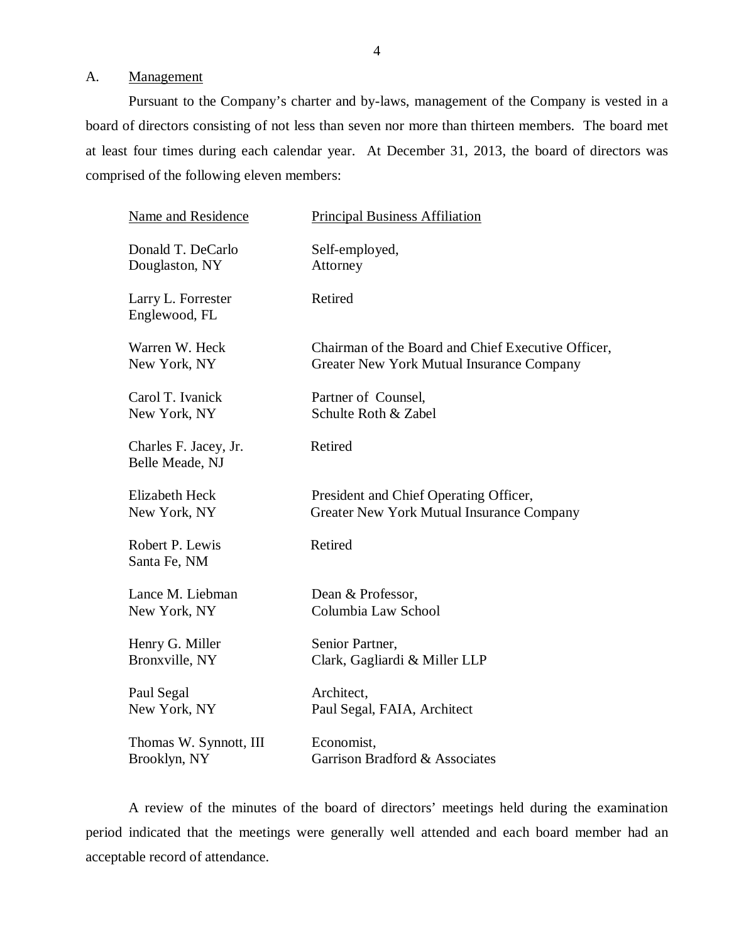#### <span id="page-5-0"></span>A. Management

Pursuant to the Company's charter and by-laws, management of the Company is vested in a board of directors consisting of not less than seven nor more than thirteen members. The board met at least four times during each calendar year. At December 31, 2013, the board of directors was comprised of the following eleven members:

| <b>Name and Residence</b>                | <b>Principal Business Affiliation</b>              |
|------------------------------------------|----------------------------------------------------|
| Donald T. DeCarlo                        | Self-employed,                                     |
| Douglaston, NY                           | Attorney                                           |
| Larry L. Forrester<br>Englewood, FL      | Retired                                            |
| Warren W. Heck                           | Chairman of the Board and Chief Executive Officer, |
| New York, NY                             | Greater New York Mutual Insurance Company          |
| Carol T. Ivanick                         | Partner of Counsel,                                |
| New York, NY                             | Schulte Roth & Zabel                               |
| Charles F. Jacey, Jr.<br>Belle Meade, NJ | Retired                                            |
| <b>Elizabeth Heck</b>                    | President and Chief Operating Officer,             |
| New York, NY                             | Greater New York Mutual Insurance Company          |
| Robert P. Lewis<br>Santa Fe, NM          | Retired                                            |
| Lance M. Liebman                         | Dean & Professor,                                  |
| New York, NY                             | Columbia Law School                                |
| Henry G. Miller                          | Senior Partner,                                    |
| Bronxville, NY                           | Clark, Gagliardi & Miller LLP                      |
| Paul Segal                               | Architect,                                         |
| New York, NY                             | Paul Segal, FAIA, Architect                        |
| Thomas W. Synnott, III                   | Economist,                                         |
| Brooklyn, NY                             | Garrison Bradford & Associates                     |

A review of the minutes of the board of directors' meetings held during the examination period indicated that the meetings were generally well attended and each board member had an acceptable record of attendance.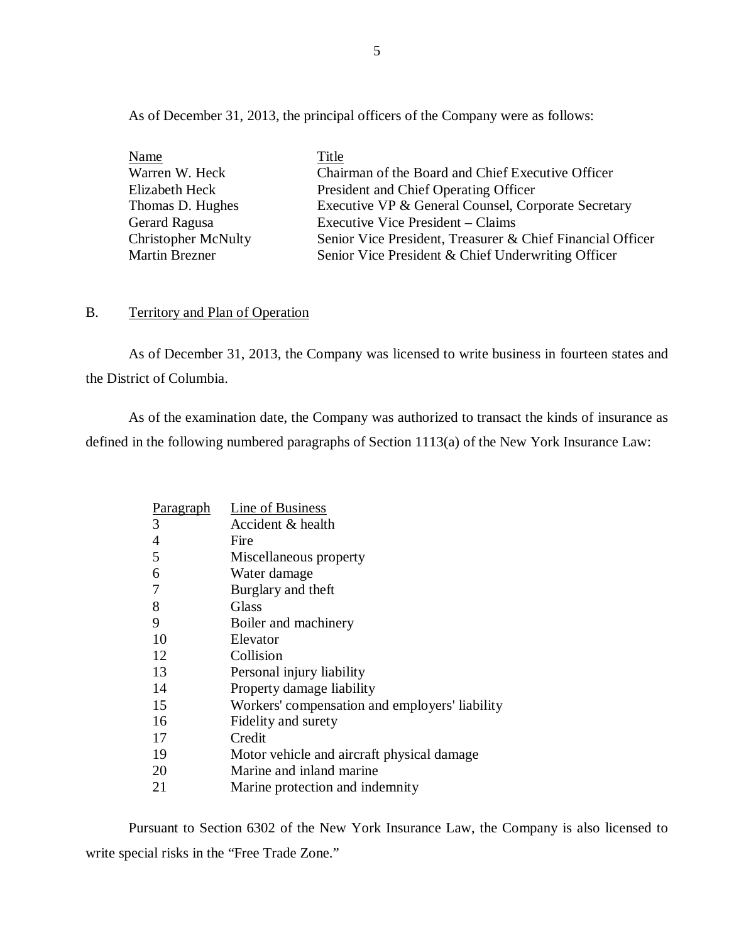<span id="page-6-0"></span>As of December 31, 2013, the principal officers of the Company were as follows:

| Name                       | Title                                                      |
|----------------------------|------------------------------------------------------------|
| Warren W. Heck             | Chairman of the Board and Chief Executive Officer          |
| Elizabeth Heck             | President and Chief Operating Officer                      |
| Thomas D. Hughes           | Executive VP & General Counsel, Corporate Secretary        |
| Gerard Ragusa              | Executive Vice President – Claims                          |
| <b>Christopher McNulty</b> | Senior Vice President, Treasurer & Chief Financial Officer |
| <b>Martin Brezner</b>      | Senior Vice President & Chief Underwriting Officer         |

## B. Territory and Plan of Operation

As of December 31, 2013, the Company was licensed to write business in fourteen states and the District of Columbia.

As of the examination date, the Company was authorized to transact the kinds of insurance as defined in the following numbered paragraphs of Section 1113(a) of the New York Insurance Law:

| <u>Paragraph</u> | Line of Business                               |
|------------------|------------------------------------------------|
| 3                | Accident & health                              |
| $\overline{4}$   | Fire                                           |
| 5                | Miscellaneous property                         |
| 6                | Water damage                                   |
| 7                | Burglary and theft                             |
| 8                | Glass                                          |
| 9                | Boiler and machinery                           |
| 10               | Elevator                                       |
| 12               | Collision                                      |
| 13               | Personal injury liability                      |
| 14               | Property damage liability                      |
| 15               | Workers' compensation and employers' liability |
| 16               | Fidelity and surety                            |
| 17               | Credit                                         |
| 19               | Motor vehicle and aircraft physical damage     |
| 20               | Marine and inland marine                       |
| 21               | Marine protection and indemnity                |

Pursuant to Section 6302 of the New York Insurance Law, the Company is also licensed to write special risks in the "Free Trade Zone."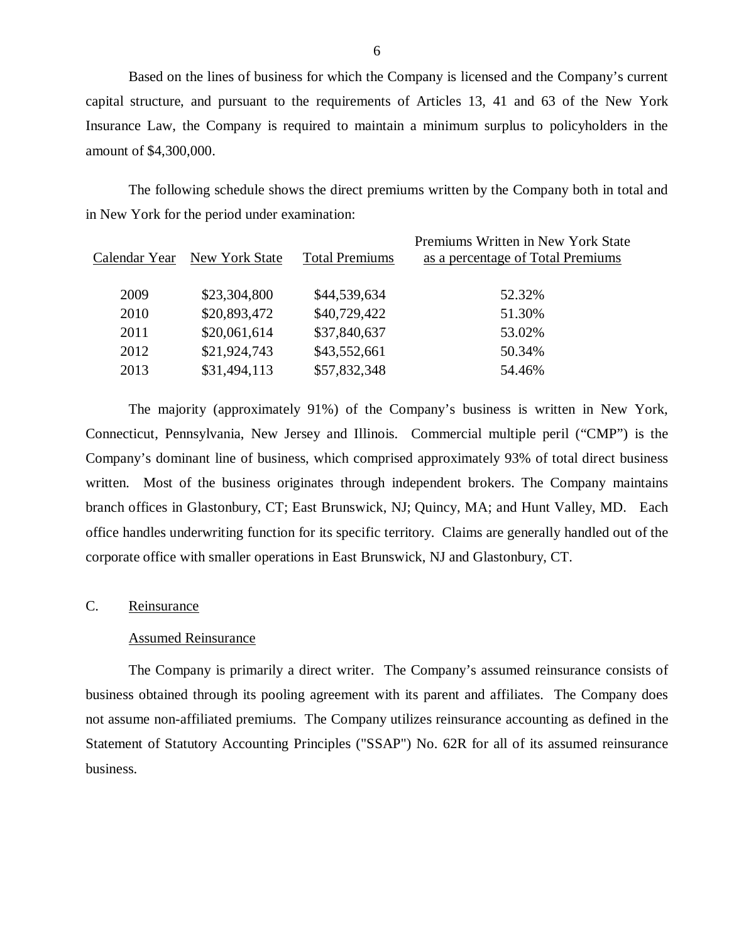Based on the lines of business for which the Company is licensed and the Company's current capital structure, and pursuant to the requirements of Articles 13, 41 and 63 of the New York Insurance Law, the Company is required to maintain a minimum surplus to policyholders in the amount of \$4,300,000.

The following schedule shows the direct premiums written by the Company both in total and in New York for the period under examination:

| Calendar Year | New York State | <b>Total Premiums</b> | Premiums Written in New York State<br>as a percentage of Total Premiums |
|---------------|----------------|-----------------------|-------------------------------------------------------------------------|
| 2009          | \$23,304,800   | \$44,539,634          | 52.32%                                                                  |
| 2010          | \$20,893,472   | \$40,729,422          | 51.30%                                                                  |
| 2011          | \$20,061,614   | \$37,840,637          | 53.02%                                                                  |
| 2012          | \$21,924,743   | \$43,552,661          | 50.34%                                                                  |
| 2013          | \$31,494,113   | \$57,832,348          | 54.46%                                                                  |
|               |                |                       |                                                                         |

The majority (approximately 91%) of the Company's business is written in New York, Connecticut, Pennsylvania, New Jersey and Illinois. Commercial multiple peril ("CMP") is the Company's dominant line of business, which comprised approximately 93% of total direct business written. Most of the business originates through independent brokers. The Company maintains branch offices in Glastonbury, CT; East Brunswick, NJ; Quincy, MA; and Hunt Valley, MD. Each office handles underwriting function for its specific territory. Claims are generally handled out of the corporate office with smaller operations in East Brunswick, NJ and Glastonbury, CT.

#### C. Reinsurance

#### Assumed Reinsurance

The Company is primarily a direct writer. The Company's assumed reinsurance consists of business obtained through its pooling agreement with its parent and affiliates. The Company does not assume non-affiliated premiums. The Company utilizes reinsurance accounting as defined in the Statement of Statutory Accounting Principles ("SSAP") No. 62R for all of its assumed reinsurance business.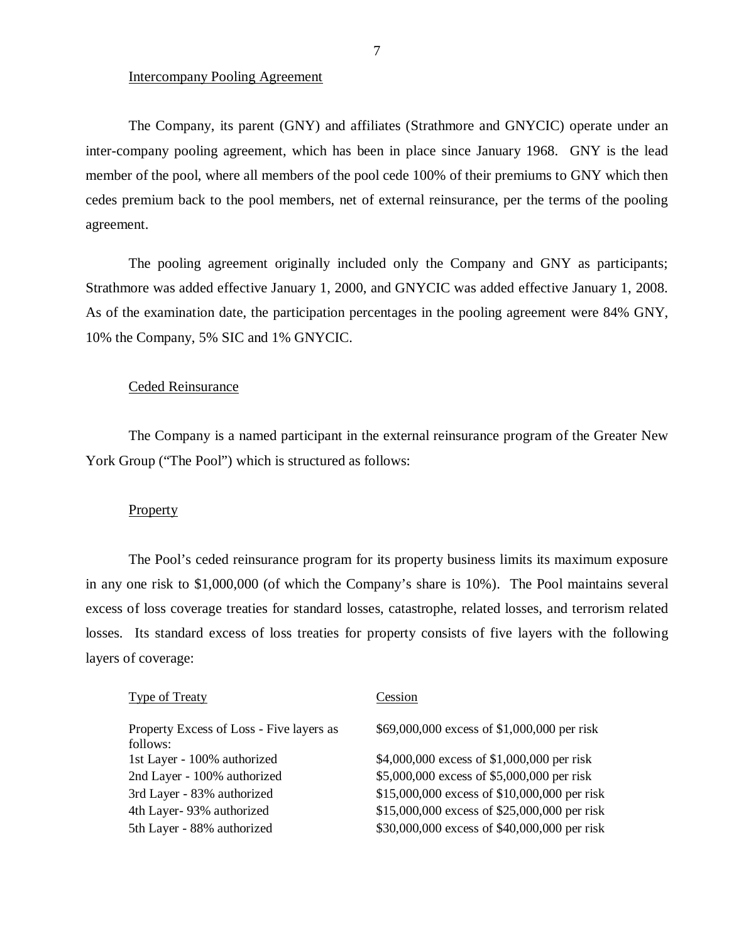#### Intercompany Pooling Agreement

The Company, its parent (GNY) and affiliates (Strathmore and GNYCIC) operate under an inter-company pooling agreement, which has been in place since January 1968. GNY is the lead member of the pool, where all members of the pool cede 100% of their premiums to GNY which then cedes premium back to the pool members, net of external reinsurance, per the terms of the pooling agreement.

The pooling agreement originally included only the Company and GNY as participants; Strathmore was added effective January 1, 2000, and GNYCIC was added effective January 1, 2008. As of the examination date, the participation percentages in the pooling agreement were 84% GNY, 10% the Company, 5% SIC and 1% GNYCIC.

#### Ceded Reinsurance

The Company is a named participant in the external reinsurance program of the Greater New York Group ("The Pool") which is structured as follows:

#### **Property**

The Pool's ceded reinsurance program for its property business limits its maximum exposure in any one risk to \$1,000,000 (of which the Company's share is 10%). The Pool maintains several excess of loss coverage treaties for standard losses, catastrophe, related losses, and terrorism related losses. Its standard excess of loss treaties for property consists of five layers with the following layers of coverage:

| <b>Type of Treaty</b>                                | Cession                                      |
|------------------------------------------------------|----------------------------------------------|
| Property Excess of Loss - Five layers as<br>follows: | \$69,000,000 excess of \$1,000,000 per risk  |
| 1st Layer - 100% authorized                          | \$4,000,000 excess of \$1,000,000 per risk   |
| 2nd Layer - 100% authorized                          | \$5,000,000 excess of \$5,000,000 per risk   |
| 3rd Layer - 83% authorized                           | \$15,000,000 excess of \$10,000,000 per risk |
| 4th Layer- 93% authorized                            | \$15,000,000 excess of \$25,000,000 per risk |
| 5th Layer - 88% authorized                           | \$30,000,000 excess of \$40,000,000 per risk |
|                                                      |                                              |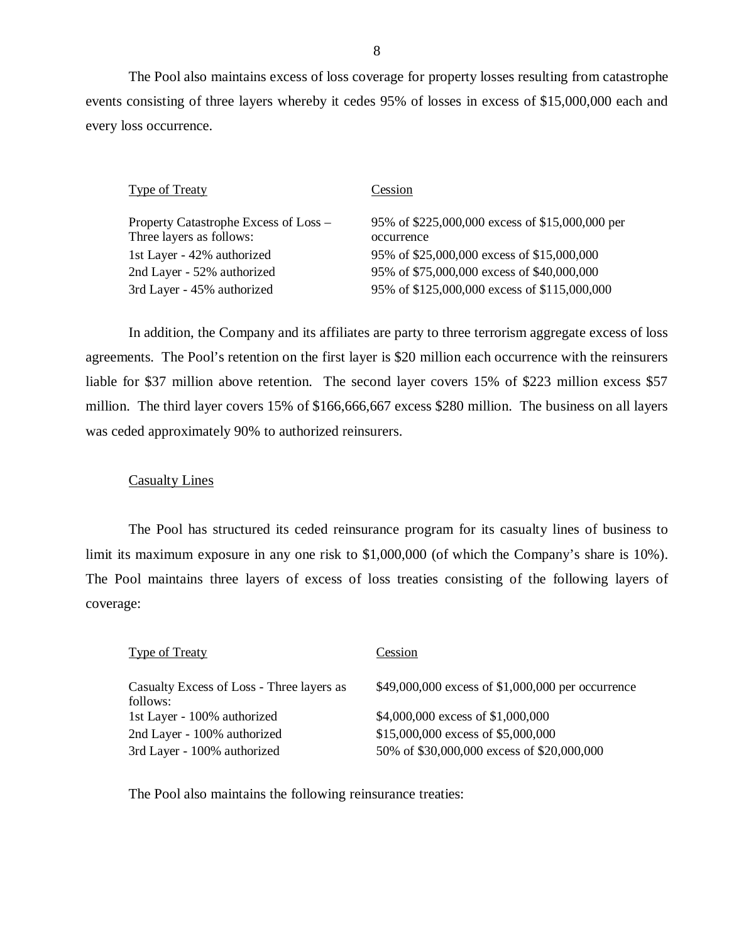The Pool also maintains excess of loss coverage for property losses resulting from catastrophe events consisting of three layers whereby it cedes 95% of losses in excess of \$15,000,000 each and every loss occurrence.

| <b>Type of Treaty</b>                                             | Cession                                                       |
|-------------------------------------------------------------------|---------------------------------------------------------------|
| Property Catastrophe Excess of Loss –<br>Three layers as follows: | 95% of \$225,000,000 excess of \$15,000,000 per<br>occurrence |
| 1st Layer - 42% authorized                                        | 95% of \$25,000,000 excess of \$15,000,000                    |
| 2nd Layer - 52% authorized                                        | 95% of \$75,000,000 excess of \$40,000,000                    |
| 3rd Layer - 45% authorized                                        | 95% of \$125,000,000 excess of \$115,000,000                  |

In addition, the Company and its affiliates are party to three terrorism aggregate excess of loss agreements. The Pool's retention on the first layer is \$20 million each occurrence with the reinsurers liable for \$37 million above retention. The second layer covers 15% of \$223 million excess \$57 million. The third layer covers 15% of \$166,666,667 excess \$280 million. The business on all layers was ceded approximately 90% to authorized reinsurers.

## Casualty Lines

The Pool has structured its ceded reinsurance program for its casualty lines of business to limit its maximum exposure in any one risk to \$1,000,000 (of which the Company's share is 10%). The Pool maintains three layers of excess of loss treaties consisting of the following layers of coverage:

| Type of Treaty                                        | Cession                                           |
|-------------------------------------------------------|---------------------------------------------------|
| Casualty Excess of Loss - Three layers as<br>follows: | \$49,000,000 excess of \$1,000,000 per occurrence |
| 1st Layer - 100% authorized                           | \$4,000,000 excess of \$1,000,000                 |
| 2nd Layer - 100% authorized                           | $$15,000,000$ excess of \$5,000,000               |
| 3rd Layer - 100% authorized                           | 50% of \$30,000,000 excess of \$20,000,000        |
|                                                       |                                                   |

The Pool also maintains the following reinsurance treaties: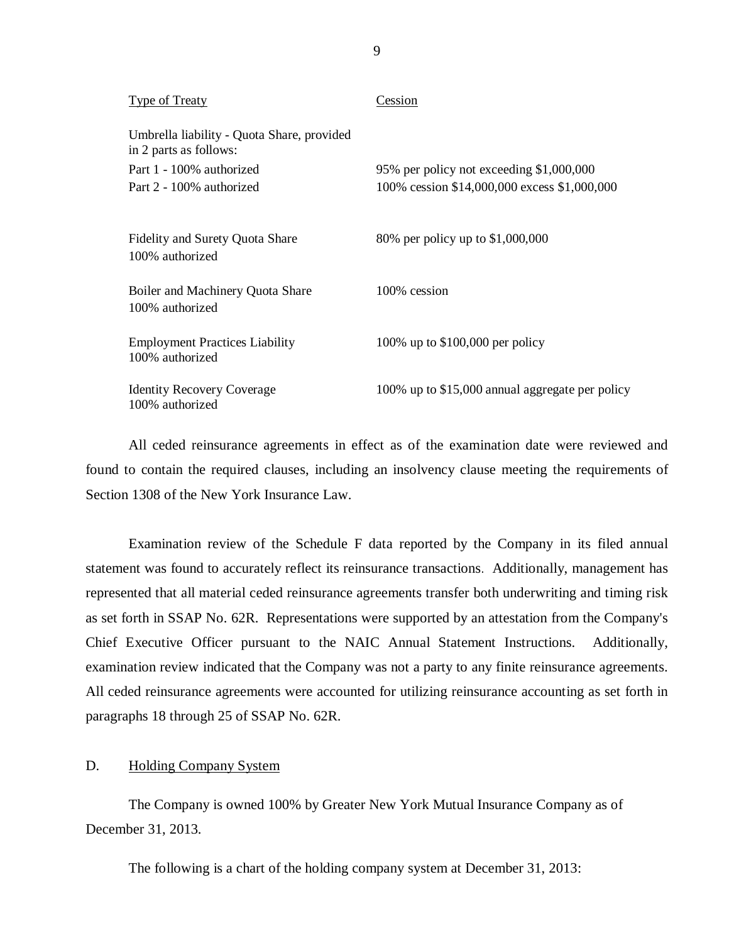| <b>Type of Treaty</b>                                                | Cession                                         |
|----------------------------------------------------------------------|-------------------------------------------------|
| Umbrella liability - Quota Share, provided<br>in 2 parts as follows: |                                                 |
| Part 1 - 100% authorized                                             | 95% per policy not exceeding \$1,000,000        |
| Part 2 - 100% authorized                                             | 100% cession \$14,000,000 excess \$1,000,000    |
|                                                                      |                                                 |
| <b>Fidelity and Surety Quota Share</b><br>100% authorized            | 80% per policy up to \$1,000,000                |
|                                                                      |                                                 |
| Boiler and Machinery Quota Share                                     | 100% cession                                    |
| 100% authorized                                                      |                                                 |
|                                                                      |                                                 |
| <b>Employment Practices Liability</b><br>100% authorized             | 100% up to \$100,000 per policy                 |
|                                                                      |                                                 |
| <b>Identity Recovery Coverage</b>                                    | 100% up to \$15,000 annual aggregate per policy |
| 100% authorized                                                      |                                                 |

All ceded reinsurance agreements in effect as of the examination date were reviewed and found to contain the required clauses, including an insolvency clause meeting the requirements of Section 1308 of the New York Insurance Law.

Examination review of the Schedule F data reported by the Company in its filed annual statement was found to accurately reflect its reinsurance transactions. Additionally, management has represented that all material ceded reinsurance agreements transfer both underwriting and timing risk as set forth in SSAP No. 62R. Representations were supported by an attestation from the Company's Chief Executive Officer pursuant to the NAIC Annual Statement Instructions. Additionally, examination review indicated that the Company was not a party to any finite reinsurance agreements. All ceded reinsurance agreements were accounted for utilizing reinsurance accounting as set forth in paragraphs 18 through 25 of SSAP No. 62R.

## D. Holding Company System

The Company is owned 100% by Greater New York Mutual Insurance Company as of December 31, 2013.

The following is a chart of the holding company system at December 31, 2013:

9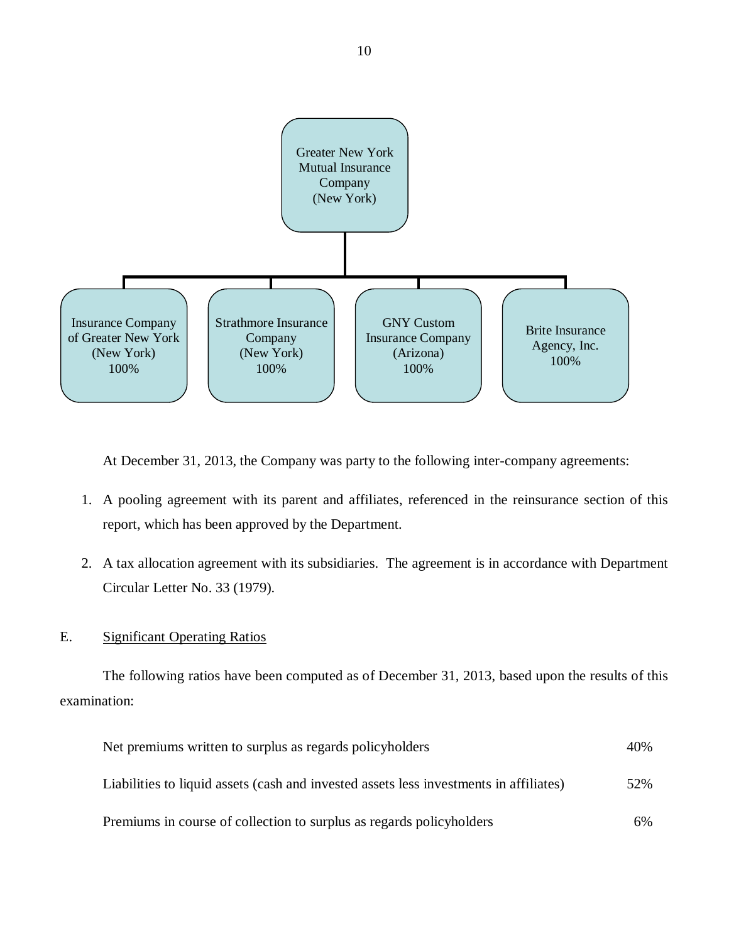<span id="page-11-0"></span>

At December 31, 2013, the Company was party to the following inter-company agreements:

- 1. A pooling agreement with its parent and affiliates, referenced in the reinsurance section of this report, which has been approved by the Department.
- 2. A tax allocation agreement with its subsidiaries. The agreement is in accordance with Department Circular Letter No. 33 (1979).

## E. Significant Operating Ratios

The following ratios have been computed as of December 31, 2013, based upon the results of this examination:

| Net premiums written to surplus as regards policyholders                               | 40% |
|----------------------------------------------------------------------------------------|-----|
| Liabilities to liquid assets (cash and invested assets less investments in affiliates) | 52% |
| Premiums in course of collection to surplus as regards policyholders                   | 6%  |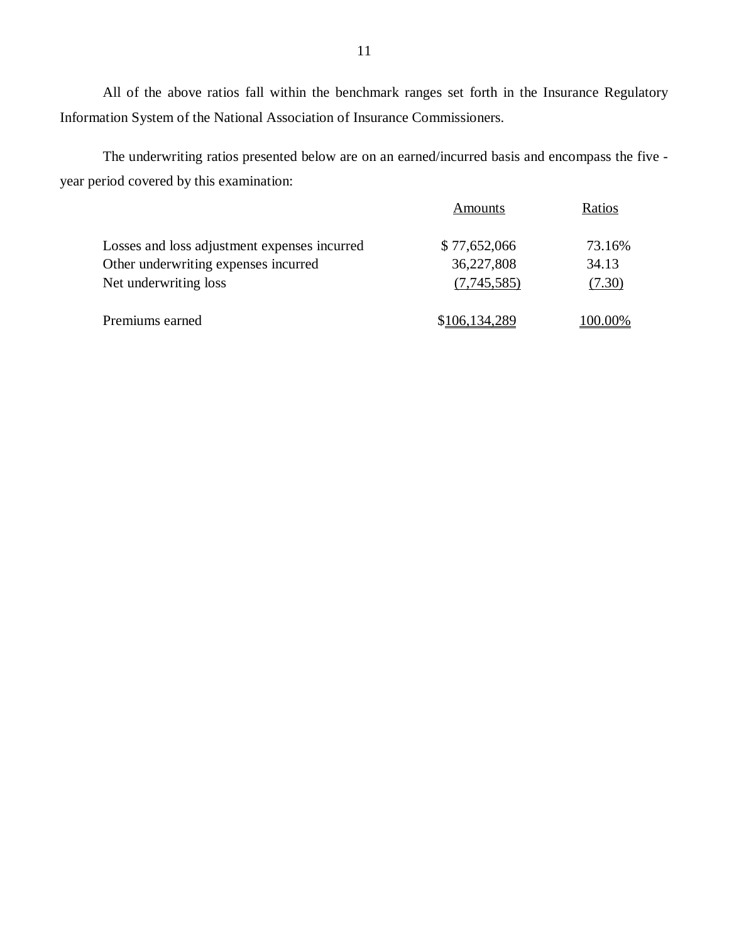All of the above ratios fall within the benchmark ranges set forth in the Insurance Regulatory Information System of the National Association of Insurance Commissioners.

The underwriting ratios presented below are on an earned/incurred basis and encompass the five year period covered by this examination:

|                                              | Amounts       | Ratios  |
|----------------------------------------------|---------------|---------|
| Losses and loss adjustment expenses incurred | \$77,652,066  | 73.16%  |
| Other underwriting expenses incurred         | 36,227,808    | 34.13   |
| Net underwriting loss                        | (7,745,585)   | (7.30)  |
| Premiums earned                              | \$106,134,289 | 100.00% |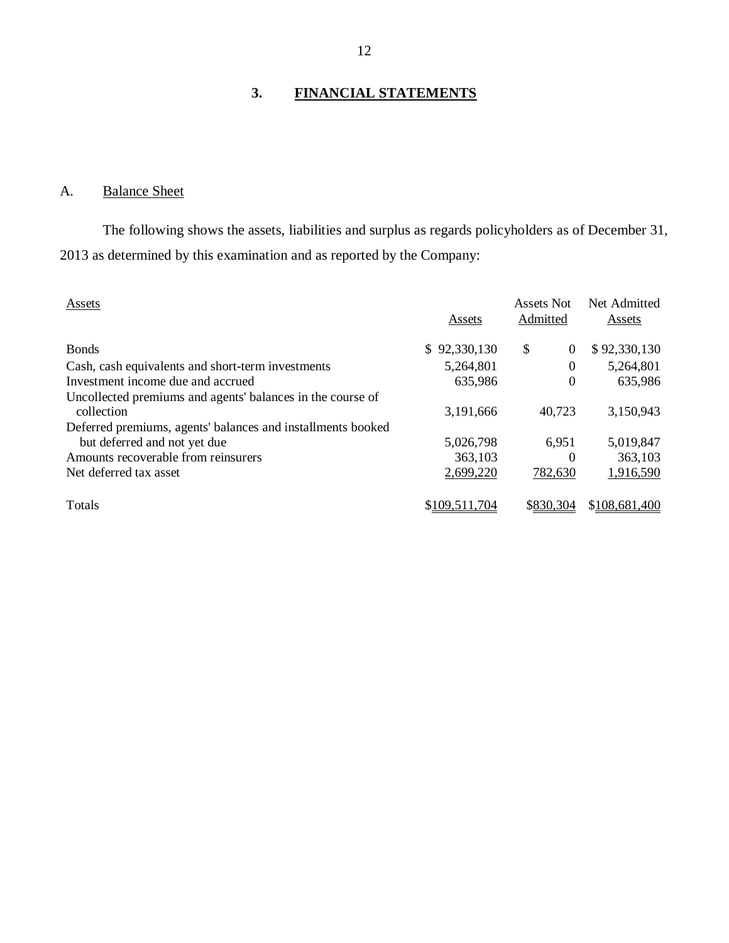## **3. FINANCIAL STATEMENTS**

## A. Balance Sheet

The following shows the assets, liabilities and surplus as regards policyholders as of December 31, 2013 as determined by this examination and as reported by the Company:

| Assets                                                                                      | Assets        | Assets Not<br>Admitted | Net Admitted<br>Assets |
|---------------------------------------------------------------------------------------------|---------------|------------------------|------------------------|
| <b>Bonds</b>                                                                                | \$92,330,130  | \$<br>$\Omega$         | \$92,330,130           |
| Cash, cash equivalents and short-term investments                                           | 5,264,801     | 0                      | 5,264,801              |
| Investment income due and accrued                                                           | 635,986       | $\theta$               | 635,986                |
| Uncollected premiums and agents' balances in the course of<br>collection                    | 3,191,666     | 40,723                 | 3,150,943              |
| Deferred premiums, agents' balances and installments booked<br>but deferred and not yet due | 5,026,798     | 6,951                  | 5,019,847              |
| Amounts recoverable from reinsurers                                                         | 363,103       | $\Omega$               | 363,103                |
| Net deferred tax asset                                                                      | 2,699,220     | 782,630                | 1,916,590              |
|                                                                                             |               |                        |                        |
| <b>T</b> otals                                                                              | \$109,511,704 | \$830.304              | \$108,681,400          |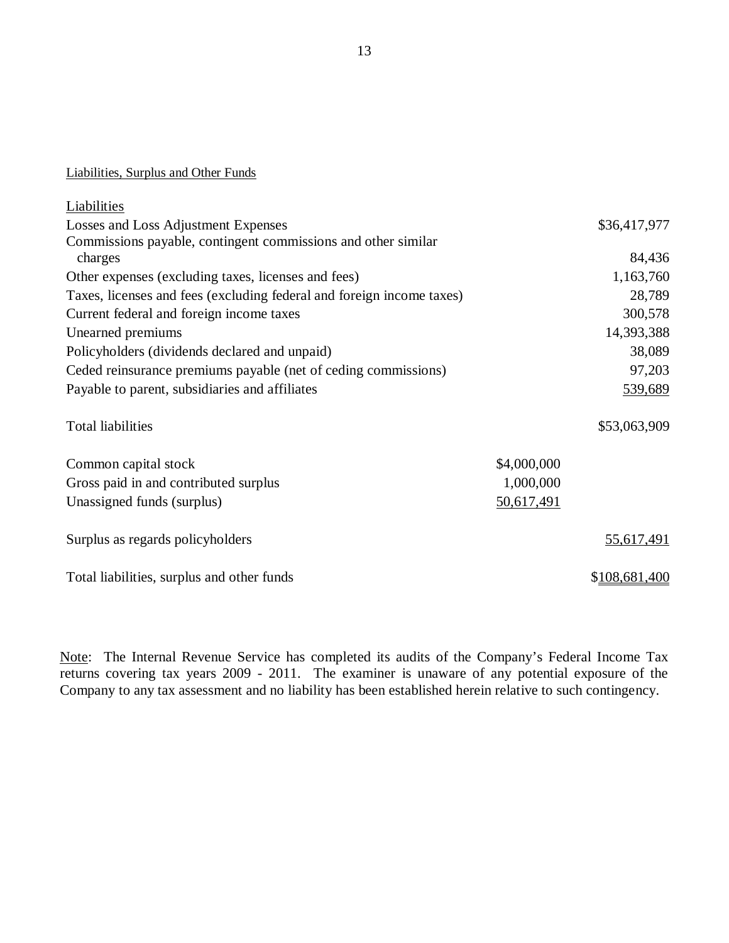## Liabilities, Surplus and Other Funds

| Liabilities                                                           |             |               |
|-----------------------------------------------------------------------|-------------|---------------|
| Losses and Loss Adjustment Expenses                                   |             | \$36,417,977  |
| Commissions payable, contingent commissions and other similar         |             |               |
| charges                                                               |             | 84,436        |
| Other expenses (excluding taxes, licenses and fees)                   |             | 1,163,760     |
| Taxes, licenses and fees (excluding federal and foreign income taxes) |             | 28,789        |
| Current federal and foreign income taxes                              |             | 300,578       |
| Unearned premiums                                                     |             | 14,393,388    |
| Policyholders (dividends declared and unpaid)                         |             | 38,089        |
| Ceded reinsurance premiums payable (net of ceding commissions)        |             | 97,203        |
| Payable to parent, subsidiaries and affiliates                        |             | 539,689       |
| <b>Total liabilities</b>                                              |             | \$53,063,909  |
| Common capital stock                                                  | \$4,000,000 |               |
| Gross paid in and contributed surplus                                 | 1,000,000   |               |
| Unassigned funds (surplus)                                            | 50,617,491  |               |
| Surplus as regards policyholders                                      |             | 55,617,491    |
| Total liabilities, surplus and other funds                            |             | \$108,681,400 |

Note: The Internal Revenue Service has completed its audits of the Company's Federal Income Tax returns covering tax years 2009 - 2011. The examiner is unaware of any potential exposure of the Company to any tax assessment and no liability has been established herein relative to such contingency.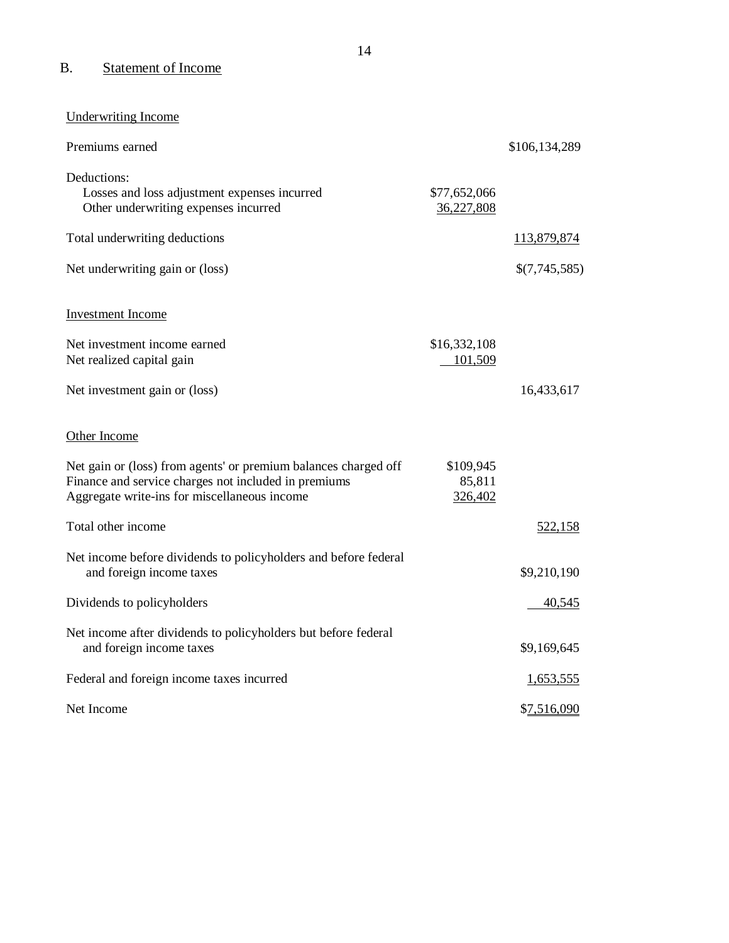## B. Statement of Income

Underwriting Income

| Premiums earned                                                                                                                                                         |                                | \$106,134,289    |
|-------------------------------------------------------------------------------------------------------------------------------------------------------------------------|--------------------------------|------------------|
| Deductions:<br>Losses and loss adjustment expenses incurred<br>Other underwriting expenses incurred                                                                     | \$77,652,066<br>36,227,808     |                  |
| Total underwriting deductions                                                                                                                                           |                                | 113,879,874      |
| Net underwriting gain or (loss)                                                                                                                                         |                                | \$(7,745,585)    |
| <b>Investment Income</b>                                                                                                                                                |                                |                  |
| Net investment income earned<br>Net realized capital gain                                                                                                               | \$16,332,108<br>101,509        |                  |
| Net investment gain or (loss)                                                                                                                                           |                                | 16,433,617       |
| Other Income                                                                                                                                                            |                                |                  |
| Net gain or (loss) from agents' or premium balances charged off<br>Finance and service charges not included in premiums<br>Aggregate write-ins for miscellaneous income | \$109,945<br>85,811<br>326,402 |                  |
| Total other income                                                                                                                                                      |                                | 522,158          |
| Net income before dividends to policyholders and before federal<br>and foreign income taxes                                                                             |                                | \$9,210,190      |
| Dividends to policyholders                                                                                                                                              |                                | 40,545           |
| Net income after dividends to policyholders but before federal<br>and foreign income taxes                                                                              |                                | \$9,169,645      |
| Federal and foreign income taxes incurred                                                                                                                               |                                | <u>1,653,555</u> |
| Net Income                                                                                                                                                              |                                | \$7,516,090      |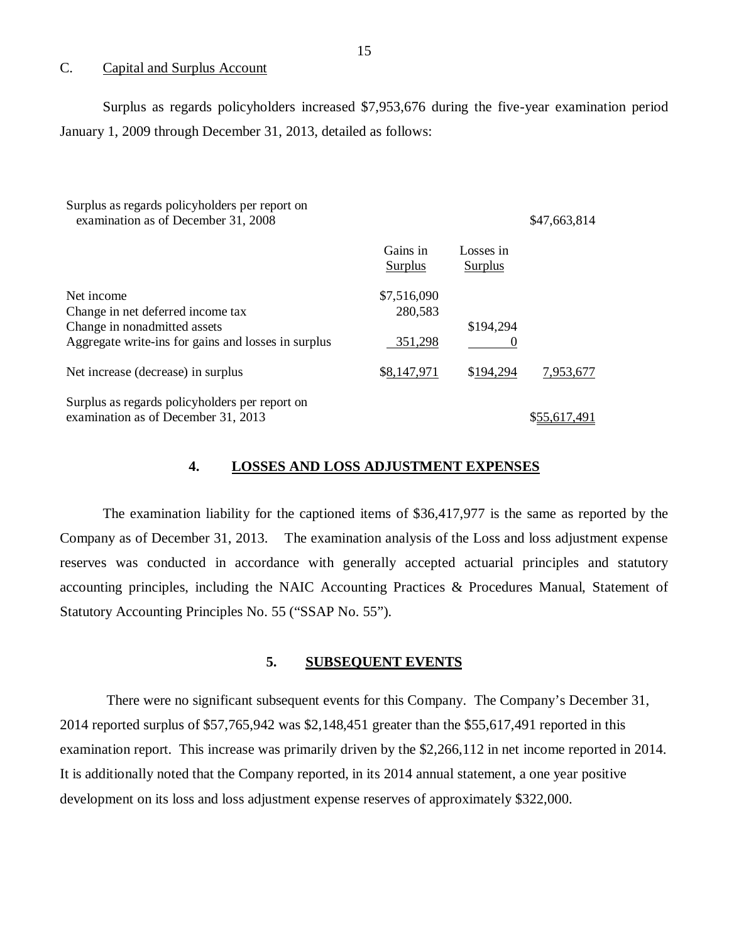#### C. Capital and Surplus Account

Surplus as regards policyholders increased \$7,953,676 during the five-year examination period January 1, 2009 through December 31, 2013, detailed as follows:

| Surplus as regards policyholders per report on<br>examination as of December 31, 2008                                                  |                                   |                      | \$47,663,814 |
|----------------------------------------------------------------------------------------------------------------------------------------|-----------------------------------|----------------------|--------------|
|                                                                                                                                        | Gains in<br>Surplus               | Losses in<br>Surplus |              |
| Net income<br>Change in net deferred income tax<br>Change in nonadmitted assets<br>Aggregate write-ins for gains and losses in surplus | \$7,516,090<br>280,583<br>351,298 | \$194,294            |              |
| Net increase (decrease) in surplus                                                                                                     | \$8,147,971                       | \$194,294            | 7,953,677    |
| Surplus as regards policyholders per report on<br>examination as of December 31, 2013                                                  |                                   |                      | \$55,617.491 |

#### **4. LOSSES AND LOSS ADJUSTMENT EXPENSES**

The examination liability for the captioned items of \$36,417,977 is the same as reported by the Company as of December 31, 2013. The examination analysis of the Loss and loss adjustment expense reserves was conducted in accordance with generally accepted actuarial principles and statutory accounting principles, including the NAIC Accounting Practices & Procedures Manual, Statement of Statutory Accounting Principles No. 55 ("SSAP No. 55").

#### **5. SUBSEQUENT EVENTS**

There were no significant subsequent events for this Company. The Company's December 31, 2014 reported surplus of \$57,765,942 was \$2,148,451 greater than the \$55,617,491 reported in this examination report. This increase was primarily driven by the \$2,266,112 in net income reported in 2014. It is additionally noted that the Company reported, in its 2014 annual statement, a one year positive development on its loss and loss adjustment expense reserves of approximately \$322,000.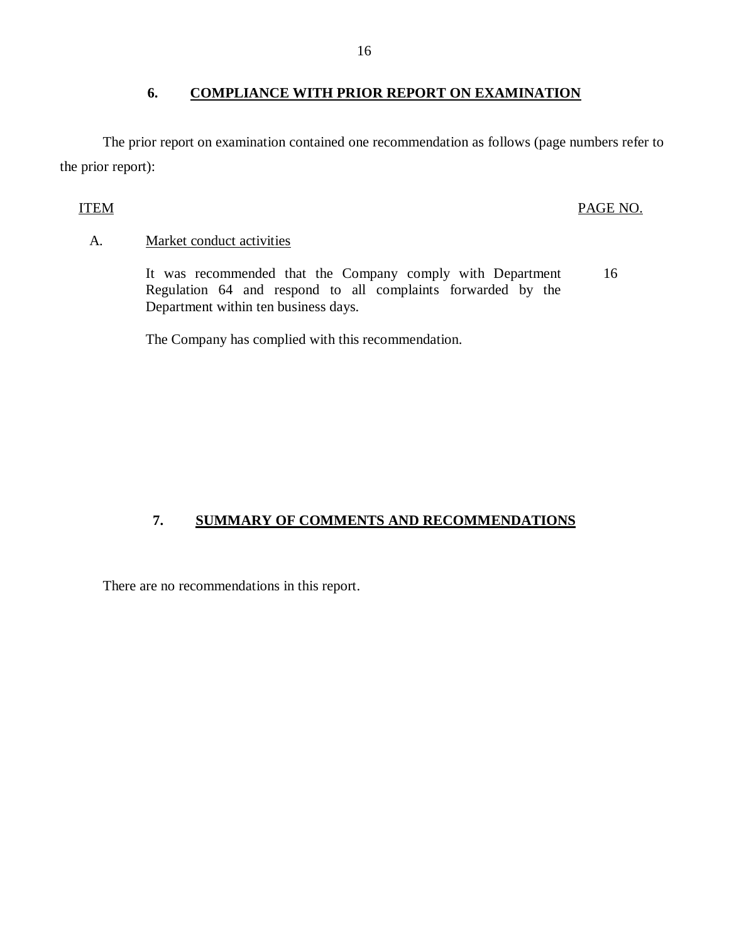## **6. COMPLIANCE WITH PRIOR REPORT ON EXAMINATION**

The prior report on examination contained one recommendation as follows (page numbers refer to the prior report):

## ITEM PAGE NO.

## A. Market conduct activities

It was recommended that the Company comply with Department Regulation 64 and respond to all complaints forwarded by the Department within ten business days. 16

The Company has complied with this recommendation.

## **7. SUMMARY OF COMMENTS AND RECOMMENDATIONS**

There are no recommendations in this report.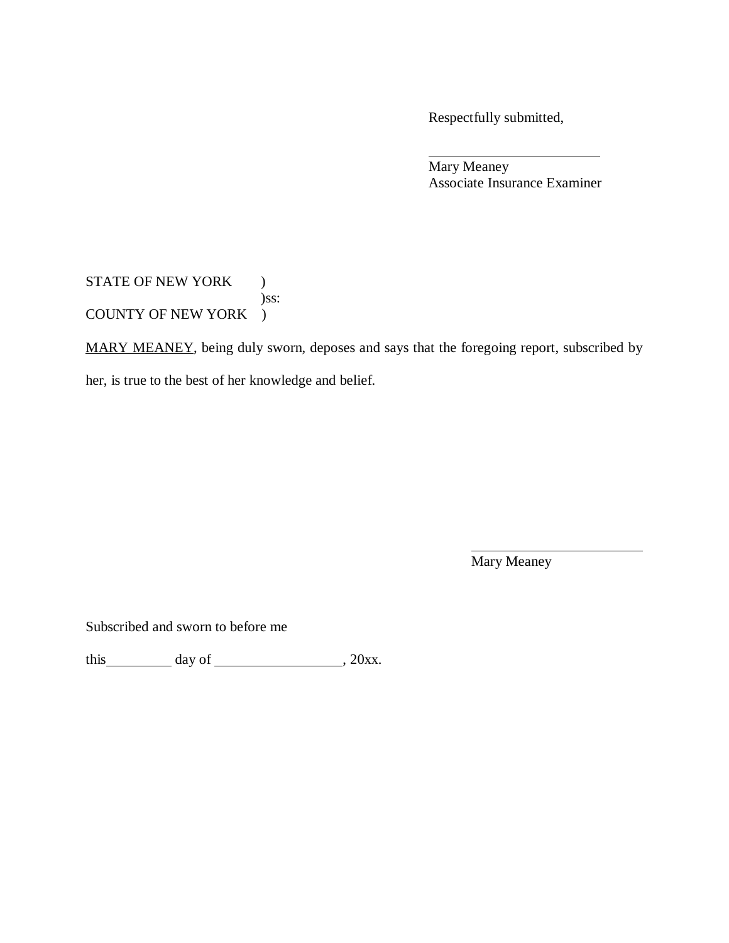Respectfully submitted,

Mary Meaney Associate Insurance Examiner

STATE OF NEW YORK ) )ss: COUNTY OF NEW YORK )

MARY MEANEY, being duly sworn, deposes and says that the foregoing report, subscribed by

her, is true to the best of her knowledge and belief.

Mary Meaney

Subscribed and sworn to before me

this  $\_\_\_\_\_\$  day of  $\_\_\_\_\_\_\_\_\$ , 20xx.